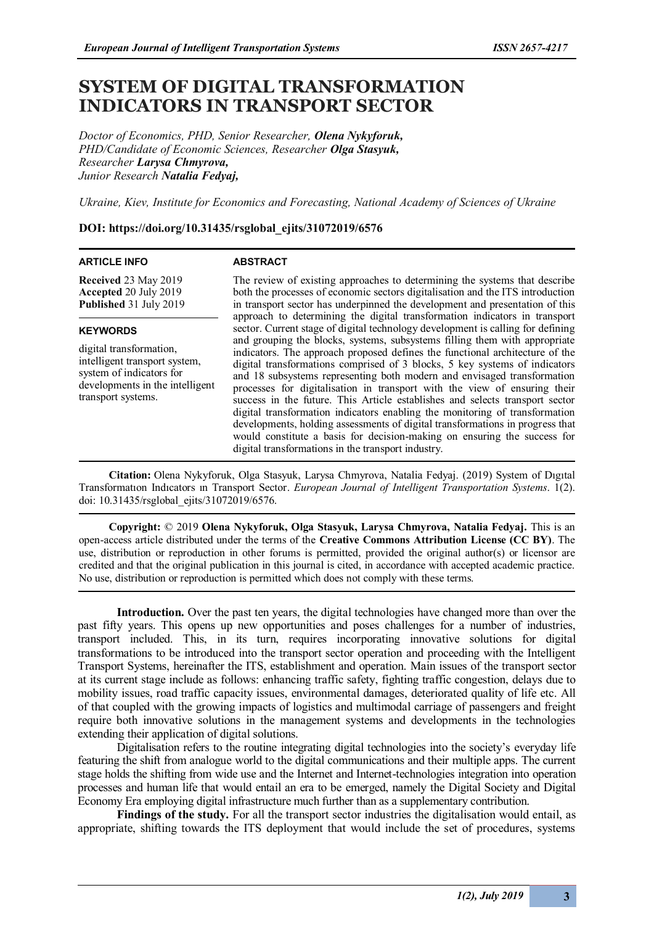# **SYSTEM OF DIGITAL TRANSFORMATION INDICATORS IN TRANSPORT SECTOR**

*Doctor of Economics, PHD, Senior Researcher, Olena Nykyforuk, PHD/Candidate of Economic Sciences, Researcher Olga Stasyuk, Researcher Larysa Chmyrova, Junior Research Natalia Fedyaj,*

*Ukraine, Kiev, Institute for Economics and Forecasting, National Academy of Sciences of Ukraine*

### **DOI: https://doi.org/10.31435/rsglobal\_ejits/31072019/6576**

#### **ARTICLE INFO**

#### **ABSTRACT**

**Received** 23 May 2019 **Accepted** 20 July 2019 **Published** 31 July 2019

### **KEYWORDS**

digital transformation, intelligent transport system, system of indicators for developments in the intelligent transport systems.

The review of existing approaches to determining the systems that describe both the processes of economic sectors digitalisation and the ITS introduction in transport sector has underpinned the development and presentation of this approach to determining the digital transformation indicators in transport sector. Current stage of digital technology development is calling for defining and grouping the blocks, systems, subsystems filling them with appropriate indicators. The approach proposed defines the functional architecture of the digital transformations comprised of 3 blocks, 5 key systems of indicators and 18 subsystems representing both modern and envisaged transformation processes for digitalisation in transport with the view of ensuring their success in the future. This Article establishes and selects transport sector digital transformation indicators enabling the monitoring of transformation developments, holding assessments of digital transformations in progress that would constitute a basis for decision-making on ensuring the success for digital transformations in the transport industry.

**Citation:** Olena Nykyforuk, Olga Stasyuk, Larysa Chmyrova, Natalia Fedyaj. (2019) System of Dıgıtal Transformatıon Indıcators ın Transport Sector. *European Journal of Intelligent Transportation Systems*. 1(2). doi: 10.31435/rsglobal\_ejits/31072019/6576.

**Copyright:** © 2019 **Olena Nykyforuk, Olga Stasyuk, Larysa Chmyrova, Natalia Fedyaj.** This is an open-access article distributed under the terms of the **Creative Commons Attribution License (CC BY)**. The use, distribution or reproduction in other forums is permitted, provided the original author(s) or licensor are credited and that the original publication in this journal is cited, in accordance with accepted academic practice. No use, distribution or reproduction is permitted which does not comply with these terms.

Introduction. Over the past ten years, the digital technologies have changed more than over the past fifty years. This opens up new opportunities and poses challenges for a number of industries, transport included. This, in its turn, requires incorporating innovative solutions for digital transformations to be introduced into the transport sector operation and proceeding with the Intelligent Transport Systems, hereinafter the ITS, establishment and operation. Main issues of the transport sector at its current stage include as follows: enhancing traffic safety, fighting traffic congestion, delays due to mobility issues, road traffic capacity issues, environmental damages, deteriorated quality of life etc. All of that coupled with the growing impacts of logistics and multimodal carriage of passengers and freight require both innovative solutions in the management systems and developments in the technologies extending their application of digital solutions.

Digitalisation refers to the routine integrating digital technologies into the society's everyday life featuring the shift from analogue world to the digital communications and their multiple apps. The current stage holds the shifting from wide use and the Internet and Internet-technologies integration into operation processes and human life that would entail an era to be emerged, namely the Digital Society and Digital Economy Era employing digital infrastructure much further than as a supplementary contribution.

**Findings of the study.** For all the transport sector industries the digitalisation would entail, as appropriate, shifting towards the ITS deployment that would include the set of procedures, systems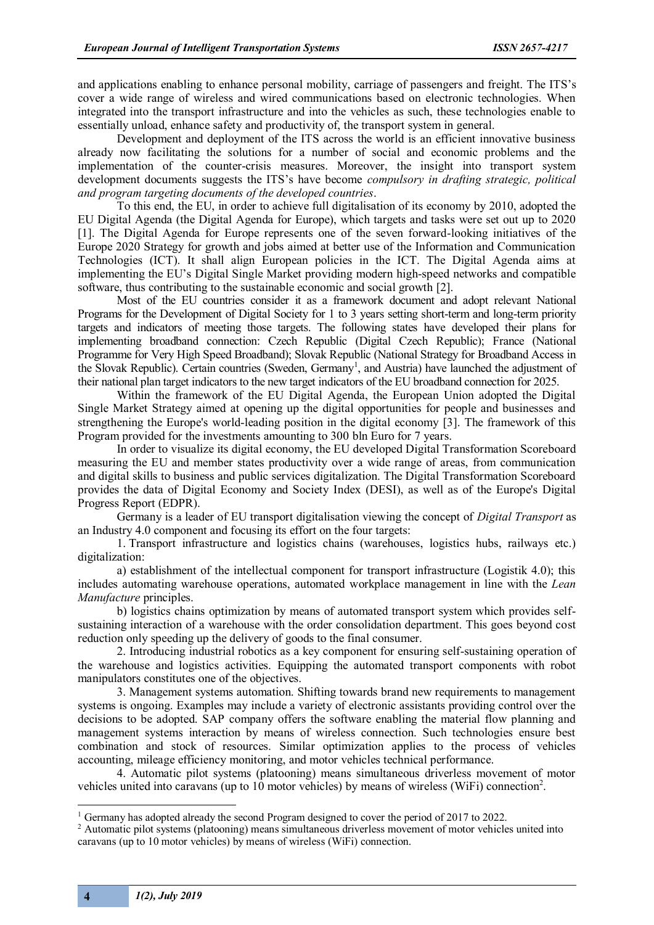and applications enabling to enhance personal mobility, carriage of passengers and freight. The ITS's cover a wide range of wireless and wired communications based on electronic technologies. When integrated into the transport infrastructure and into the vehicles as such, these technologies enable to essentially unload, enhance safety and productivity of, the transport system in general.

Development and deployment of the ITS across the world is an efficient innovative business already now facilitating the solutions for a number of social and economic problems and the implementation of the counter-crisis measures. Moreover, the insight into transport system development documents suggests the ITS's have become *compulsory in drafting strategic, political and program targeting documents of the developed countries*.

To this end, the EU, in order to achieve full digitalisation of its economy by 2010, adopted the EU Digital Agenda (the Digital Agenda for Europe), which targets and tasks were set out up to 2020 [1]. The Digital Agenda for Europe represents one of the seven forward-looking initiatives of the Europe 2020 Strategy for growth and jobs aimed at better use of the Information and Communication Technologies (ICT). It shall align European policies in the ICT. The Digital Agenda aims at implementing the EU's Digital Single Market providing modern high-speed networks and compatible software, thus contributing to the sustainable economic and social growth [2].

Most of the EU countries consider it as a framework document and adopt relevant National Programs for the Development of Digital Society for 1 to 3 years setting short-term and long-term priority targets and indicators of meeting those targets. The following states have developed their plans for implementing broadband connection: Czech Republic (Digital Czech Republic); France (National Programme for Very High Speed Broadband); Slovak Republic (National Strategy for Broadband Access in the Slovak Republic). Certain countries (Sweden, Germany<sup>1</sup>, and Austria) have launched the adjustment of their national plan target indicators to the new target indicators of the EU broadband connection for 2025.

Within the framework of the EU Digital Agenda, the European Union adopted the Digital Single Market Strategy aimed at opening up the digital opportunities for people and businesses and strengthening the Europe's world-leading position in the digital economy [3]. The framework of this Program provided for the investments amounting to 300 bln Euro for 7 years.

In order to visualize its digital economy, the EU developed Digital Transformation Scoreboard measuring the EU and member states productivity over a wide range of areas, from communication and digital skills to business and public services digitalization. The Digital Transformation Scoreboard provides the data of Digital Economy and Society Index (DESI), as well as of the Europe's Digital Progress Report (EDPR).

Germany is a leader of EU transport digitalisation viewing the concept of *Digital Transport* as an Industry 4.0 component and focusing its effort on the four targets:

1. Transport infrastructure and logistics chains (warehouses, logistics hubs, railways etc.) digitalization:

a) establishment of the intellectual component for transport infrastructure (Logistik 4.0); this includes automating warehouse operations, automated workplace management in line with the *Lean Manufacture* principles.

b) logistics chains optimization by means of automated transport system which provides selfsustaining interaction of a warehouse with the order consolidation department. This goes beyond cost reduction only speeding up the delivery of goods to the final consumer.

2. Introducing industrial robotics as a key component for ensuring self-sustaining operation of the warehouse and logistics activities. Equipping the automated transport components with robot manipulators constitutes one of the objectives.

3. Management systems automation. Shifting towards brand new requirements to management systems is ongoing. Examples may include a variety of electronic assistants providing control over the decisions to be adopted. SAP company offers the software enabling the material flow planning and management systems interaction by means of wireless connection. Such technologies ensure best combination and stock of resources. Similar optimization applies to the process of vehicles accounting, mileage efficiency monitoring, and motor vehicles technical performance.

4. Automatic pilot systems (platooning) means simultaneous driverless movement of motor vehicles united into caravans (up to  $10$  motor vehicles) by means of wireless (WiFi) connection<sup>2</sup>.

<sup>&</sup>lt;sup>1</sup> Germany has adopted already the second Program designed to cover the period of 2017 to 2022.

<sup>&</sup>lt;sup>2</sup> Automatic pilot systems (platooning) means simultaneous driverless movement of motor vehicles united into caravans (up to 10 motor vehicles) by means of wireless (WiFi) connection.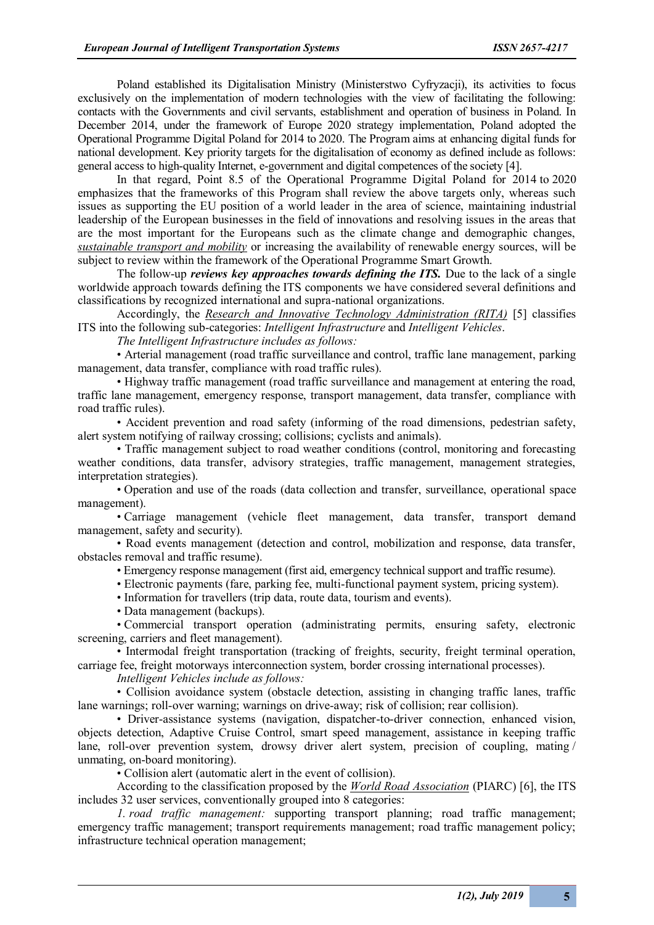Poland established its Digitalisation Ministry (Ministerstwo Cyfryzacji), its activities to focus exclusively on the implementation of modern technologies with the view of facilitating the following: contacts with the Governments and civil servants, establishment and operation of business in Poland. In December 2014, under the framework of Europe 2020 strategy implementation, Poland adopted the Operational Programme Digital Poland for 2014 to 2020. The Program aims at enhancing digital funds for national development. Key priority targets for the digitalisation of economy as defined include as follows: general access to high-quality Internet, e-government and digital competences of the society [4].

In that regard, Point 8.5 of the Operational Programme Digital Poland for 2014 to 2020 emphasizes that the frameworks of this Program shall review the above targets only, whereas such issues as supporting the EU position of a world leader in the area of science, maintaining industrial leadership of the European businesses in the field of innovations and resolving issues in the areas that are the most important for the Europeans such as the climate change and demographic changes, *sustainable transport and mobility* or increasing the availability of renewable energy sources, will be subject to review within the framework of the Operational Programme Smart Growth.

The follow-up *reviews key approaches towards defining the ITS.* Due to the lack of a single worldwide approach towards defining the ITS components we have considered several definitions and classifications by recognized international and supra-national organizations.

Accordingly, the *Research and Innovative Technology Administration (RITA)* [5] classifies ITS into the following sub-categories: *Intelligent Infrastructure* and *Intelligent Vehicles*.

*The Intelligent Infrastructure includes as follows:*

• Arterial management (road traffic surveillance and control, traffic lane management, parking management, data transfer, compliance with road traffic rules).

• Highway traffic management (road traffic surveillance and management at entering the road, traffic lane management, emergency response, transport management, data transfer, compliance with road traffic rules).

• Accident prevention and road safety (informing of the road dimensions, pedestrian safety, alert system notifying of railway crossing; collisions; cyclists and animals).

• Traffic management subject to road weather conditions (control, monitoring and forecasting weather conditions, data transfer, advisory strategies, traffic management, management strategies, interpretation strategies).

• Operation and use of the roads (data collection and transfer, surveillance, operational space management).

• Carriage management (vehicle fleet management, data transfer, transport demand management, safety and security).

• Road events management (detection and control, mobilization and response, data transfer, obstacles removal and traffic resume).

• Emergency response management (first aid, emergency technical support and traffic resume).

• Electronic payments (fare, parking fee, multi-functional payment system, pricing system).

• Information for travellers (trip data, route data, tourism and events).

• Data management (backups).

• Commercial transport operation (administrating permits, ensuring safety, electronic screening, carriers and fleet management).

• Intermodal freight transportation (tracking of freights, security, freight terminal operation, carriage fee, freight motorways interconnection system, border crossing international processes).

*Intelligent Vehicles include as follows:*

• Collision avoidance system (obstacle detection, assisting in changing traffic lanes, traffic lane warnings; roll-over warning; warnings on drive-away; risk of collision; rear collision).

• Driver-assistance systems (navigation, dispatcher-to-driver connection, enhanced vision, objects detection, Adaptive Cruise Control, smart speed management, assistance in keeping traffic lane, roll-over prevention system, drowsy driver alert system, precision of coupling, mating / unmating, on-board monitoring).

• Collision alert (automatic alert in the event of collision).

According to the classification proposed by the *World Road Association* (PIARC) [6], the ITS includes 32 user services, conventionally grouped into 8 categories:

*1. road traffic management:* supporting transport planning; road traffic management; emergency traffic management; transport requirements management; road traffic management policy; infrastructure technical operation management;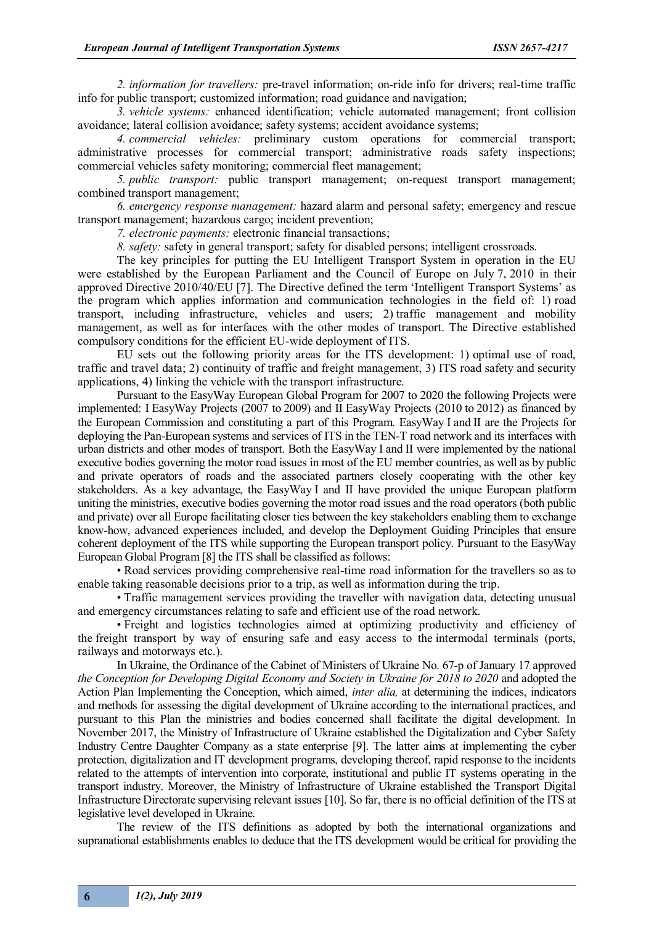*2. information for travellers:* pre-travel information; on-ride info for drivers; real-time traffic info for public transport; customized information; road guidance and navigation;

*3. vehicle systems:* enhanced identification; vehicle automated management; front collision avoidance; lateral collision avoidance; safety systems; accident avoidance systems;

*4. commercial vehicles:* preliminary custom operations for commercial transport; administrative processes for commercial transport; administrative roads safety inspections; commercial vehicles safety monitoring; commercial fleet management;

*5. public transport:* public transport management; on-request transport management; combined transport management;

*6. emergency response management:* hazard alarm and personal safety; emergency and rescue transport management; hazardous cargo; incident prevention;

*7. electronic payments:* electronic financial transactions;

*8. safety:* safety in general transport; safety for disabled persons; intelligent crossroads.

The key principles for putting the EU Intelligent Transport System in operation in the EU were established by the European Parliament and the Council of Europe on July 7, 2010 in their approved Directive 2010/40/EU [7]. The Directive defined the term 'Intelligent Transport Systems' as the program which applies information and communication technologies in the field of: 1) road transport, including infrastructure, vehicles and users; 2) traffic management and mobility management, as well as for interfaces with the other modes of transport. The Directive established compulsory conditions for the efficient EU-wide deployment of ITS.

EU sets out the following priority areas for the ITS development: 1) optimal use of road, traffic and travel data; 2) continuity of traffic and freight management, 3) ITS road safety and security applications, 4) linking the vehicle with the transport infrastructure.

Pursuant to the EasyWay European Global Program for 2007 to 2020 the following Projects were implemented: I EasyWay Projects (2007 to 2009) and II EasyWay Projects (2010 to 2012) as financed by the European Commission and constituting a part of this Program. EasyWay I and II are the Projects for deploying the Pan-European systems and services of ITS in the TEN-T road network and its interfaces with urban districts and other modes of transport. Both the EasyWay I and II were implemented by the national executive bodies governing the motor road issues in most of the EU member countries, as well as by public and private operators of roads and the associated partners closely cooperating with the other key stakeholders. As a key advantage, the EasyWay I and II have provided the unique European platform uniting the ministries, executive bodies governing the motor road issues and the road operators (both public and private) over all Europe facilitating closer ties between the key stakeholders enabling them to exchange know-how, advanced experiences included, and develop the Deployment Guiding Principles that ensure coherent deployment of the ITS while supporting the European transport policy. Pursuant to the EasyWay European Global Program [8] the ITS shall be classified as follows:

• Road services providing comprehensive real-time road information for the travellers so as to enable taking reasonable decisions prior to a trip, as well as information during the trip.

• Traffic management services providing the traveller with navigation data, detecting unusual and emergency circumstances relating to safe and efficient use of the road network.

• Freight and logistics technologies aimed at optimizing productivity and efficiency of the freight transport by way of ensuring safe and easy access to the intermodal terminals (ports, railways and motorways etc.).

In Ukraine, the Ordinance of the Cabinet of Ministers of Ukraine No. 67-р of January 17 approved *the Conception for Developing Digital Economy and Society in Ukraine for 2018 to 2020* and adopted the Action Plan Implementing the Conception, which aimed, *inter alia,* at determining the indices, indicators and methods for assessing the digital development of Ukraine according to the international practices, and pursuant to this Plan the ministries and bodies concerned shall facilitate the digital development. In November 2017, the Ministry of Infrastructure of Ukraine established the Digitalization and Cyber Safety Industry Centre Daughter Company as a state enterprise [9]. The latter aims at implementing the cyber protection, digitalization and IT development programs, developing thereof, rapid response to the incidents related to the attempts of intervention into corporate, institutional and public IT systems operating in the transport industry. Moreover, the Ministry of Infrastructure of Ukraine established the Transport Digital Infrastructure Directorate supervising relevant issues [10]. So far, there is no official definition of the ITS at legislative level developed in Ukraine.

The review of the ITS definitions as adopted by both the international organizations and supranational establishments enables to deduce that the ITS development would be critical for providing the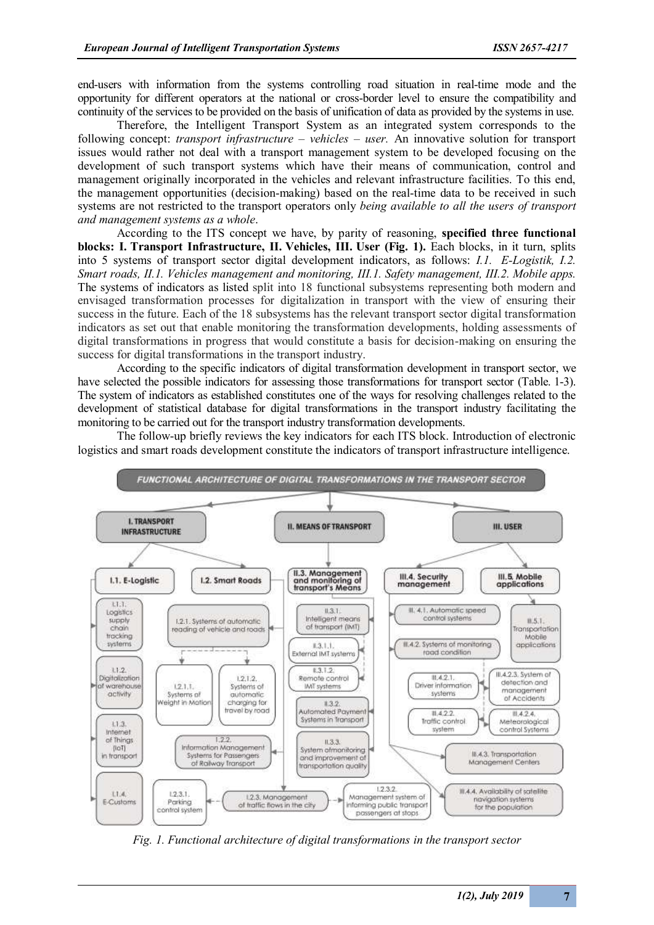end-users with information from the systems controlling road situation in real-time mode and the opportunity for different operators at the national or cross-border level to ensure the compatibility and continuity of the services to be provided on the basis of unification of data as provided by the systems in use.

Therefore, the Intelligent Transport System as an integrated system corresponds to the following concept: *transport infrastructure – vehicles – user.* An innovative solution for transport issues would rather not deal with a transport management system to be developed focusing on the development of such transport systems which have their means of communication, control and management originally incorporated in the vehicles and relevant infrastructure facilities. To this end, the management opportunities (decision-making) based on the real-time data to be received in such systems are not restricted to the transport operators only *being available to all the users of transport and management systems as a whole*.

According to the ITS concept we have, by parity of reasoning, **specified three functional blocks: I. Transport Infrastructure, ІІ. Vehicles, ІІІ. User (Fig. 1).** Each blocks, in it turn, splits into 5 systems of transport sector digital development indicators, as follows: *І.1. E-Logistik, І.2. Smart roads, ІІ.1. Vehicles management and monitoring, ІІІ.1. Safety management, ІІІ.2. Mobile apps.*  The systems of indicators as listed split into 18 functional subsystems representing both modern and envisaged transformation processes for digitalization in transport with the view of ensuring their success in the future. Each of the 18 subsystems has the relevant transport sector digital transformation indicators as set out that enable monitoring the transformation developments, holding assessments of digital transformations in progress that would constitute a basis for decision-making on ensuring the success for digital transformations in the transport industry.

According to the specific indicators of digital transformation development in transport sector, we have selected the possible indicators for assessing those transformations for transport sector (Table. 1-3). The system of indicators as established constitutes one of the ways for resolving challenges related to the development of statistical database for digital transformations in the transport industry facilitating the monitoring to be carried out for the transport industry transformation developments.

The follow-up briefly reviews the key indicators for each ITS block. Introduction of electronic logistics and smart roads development constitute the indicators of transport infrastructure intelligence.



*Fig. 1. Functional architecture of digital transformations in the transport sector*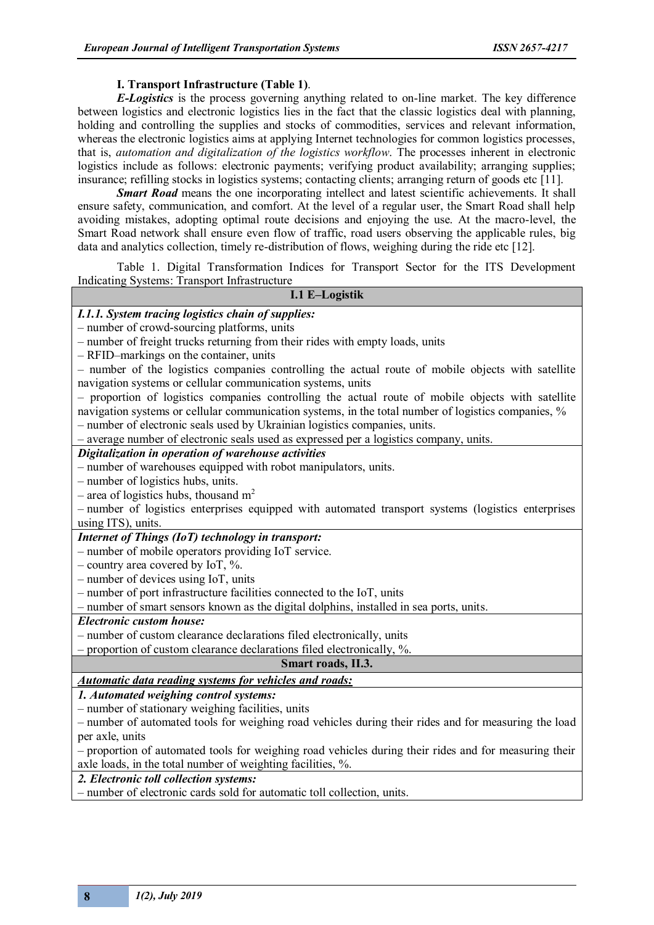### **I. Transport Infrastructure (Table 1)**.

*E-Logistics* is the process governing anything related to on-line market. The key difference between logistics and electronic logistics lies in the fact that the classic logistics deal with planning, holding and controlling the supplies and stocks of commodities, services and relevant information, whereas the electronic logistics aims at applying Internet technologies for common logistics processes, that is, *automation and digitalization of the logistics workflow*. The processes inherent in electronic logistics include as follows: electronic payments; verifying product availability; arranging supplies; insurance; refilling stocks in logistics systems; contacting clients; arranging return of goods etc [11].

*Smart Road* means the one incorporating intellect and latest scientific achievements. It shall ensure safety, communication, and comfort. At the level of a regular user, the Smart Road shall help avoiding mistakes, adopting optimal route decisions and enjoying the use. At the macro-level, the Smart Road network shall ensure even flow of traffic, road users observing the applicable rules, big data and analytics collection, timely re-distribution of flows, weighing during the ride etc [12].

Table 1. Digital Transformation Indices for Transport Sector for the ITS Development Indicating Systems: Transport Infrastructure

### **І.1 E–Logistik**

### *І.1.1. System tracing logistics chain of supplies:*

– number of crowd-sourcing platforms, units

– number of freight trucks returning from their rides with empty loads, units

– RFID–markings on the container, units

– number of the logistics companies controlling the actual route of mobile objects with satellite navigation systems or cellular communication systems, units

– proportion of logistics companies controlling the actual route of mobile objects with satellite navigation systems or cellular communication systems, in the total number of logistics companies, % – number of electronic seals used by Ukrainian logistics companies, units.

– average number of electronic seals used as expressed per a logistics company, units.

### *Digitalization in operation of warehouse activities*

– number of warehouses equipped with robot manipulators, units.

– number of logistics hubs, units.

– area of logistics hubs, thousand  $m<sup>2</sup>$ 

– number of logistics enterprises equipped with automated transport systems (logistics enterprises using ITS), units.

### *Internet of Things (IoT) technology in transport:*

– number of mobile operators providing IoT service.

– country area covered by IoT,  $\%$ .

– number of devices using IoT, units

– number of port infrastructure facilities connected to the IoT, units

– number of smart sensors known as the digital dolphins, installed in sea ports, units.

#### *Electronic custom house:*

– number of custom clearance declarations filed electronically, units

– proportion of custom clearance declarations filed electronically, %.

### **Smart roads, ІІ.3.**

*Automatic data reading systems for vehicles and roads:*

*1. Automated weighing control systems:*

– number of stationary weighing facilities, units

– number of automated tools for weighing road vehicles during their rides and for measuring the load per axle, units

– proportion of automated tools for weighing road vehicles during their rides and for measuring their axle loads, in the total number of weighting facilities, %.

*2. Electronic toll collection systems:*

– number of electronic cards sold for automatic toll collection, units.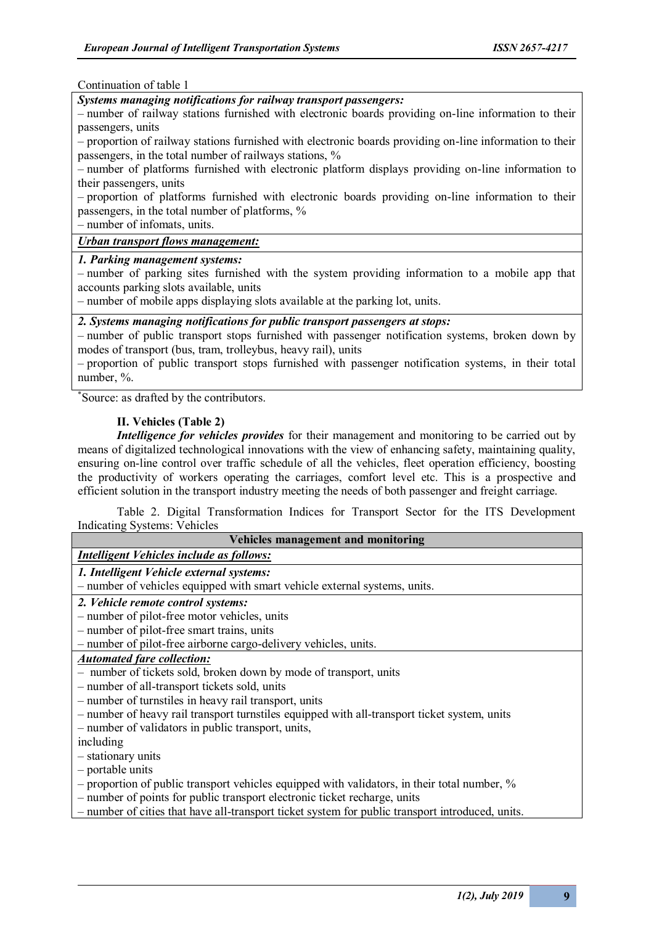#### Continuation of table 1

### *Systems managing notifications for railway transport passengers:*

– number of railway stations furnished with electronic boards providing on-line information to their passengers, units

– proportion of railway stations furnished with electronic boards providing on-line information to their passengers, in the total number of railways stations, %

– number of platforms furnished with electronic platform displays providing on-line information to their passengers, units

– proportion of platforms furnished with electronic boards providing on-line information to their passengers, in the total number of platforms, %

– number of infomats, units.

# *Urban transport flows management:*

#### *1. Parking management systems:*

– number of parking sites furnished with the system providing information to a mobile app that accounts parking slots available, units

– number of mobile apps displaying slots available at the parking lot, units.

## *2. Systems managing notifications for public transport passengers at stops:*

– number of public transport stops furnished with passenger notification systems, broken down by modes of transport (bus, tram, trolleybus, heavy rail), units

– proportion of public transport stops furnished with passenger notification systems, in their total number, %.

\* Source: as drafted by the contributors.

#### **ІІ. Vehicles (Table 2)**

*Intelligence for vehicles provides* for their management and monitoring to be carried out by means of digitalized technological innovations with the view of enhancing safety, maintaining quality, ensuring on-line control over traffic schedule of all the vehicles, fleet operation efficiency, boosting the productivity of workers operating the carriages, comfort level etc. This is a prospective and efficient solution in the transport industry meeting the needs of both passenger and freight carriage.

Table 2. Digital Transformation Indices for Transport Sector for the ITS Development Indicating Systems: Vehicles

| Vehicles management and monitoring                                                               |
|--------------------------------------------------------------------------------------------------|
| <b>Intelligent Vehicles include as follows:</b>                                                  |
| 1. Intelligent Vehicle external systems:                                                         |
| - number of vehicles equipped with smart vehicle external systems, units.                        |
| 2. Vehicle remote control systems:                                                               |
| - number of pilot-free motor vehicles, units                                                     |
| - number of pilot-free smart trains, units                                                       |
| - number of pilot-free airborne cargo-delivery vehicles, units.                                  |
| <b>Automated fare collection:</b>                                                                |
| - number of tickets sold, broken down by mode of transport, units                                |
| - number of all-transport tickets sold, units                                                    |
| - number of turnstiles in heavy rail transport, units                                            |
| - number of heavy rail transport turnstiles equipped with all-transport ticket system, units     |
| - number of validators in public transport, units,                                               |
| including                                                                                        |
| - stationary units                                                                               |
| $-$ portable units                                                                               |
| - proportion of public transport vehicles equipped with validators, in their total number, %     |
| - number of points for public transport electronic ticket recharge, units                        |
| - number of cities that have all-transport ticket system for public transport introduced, units. |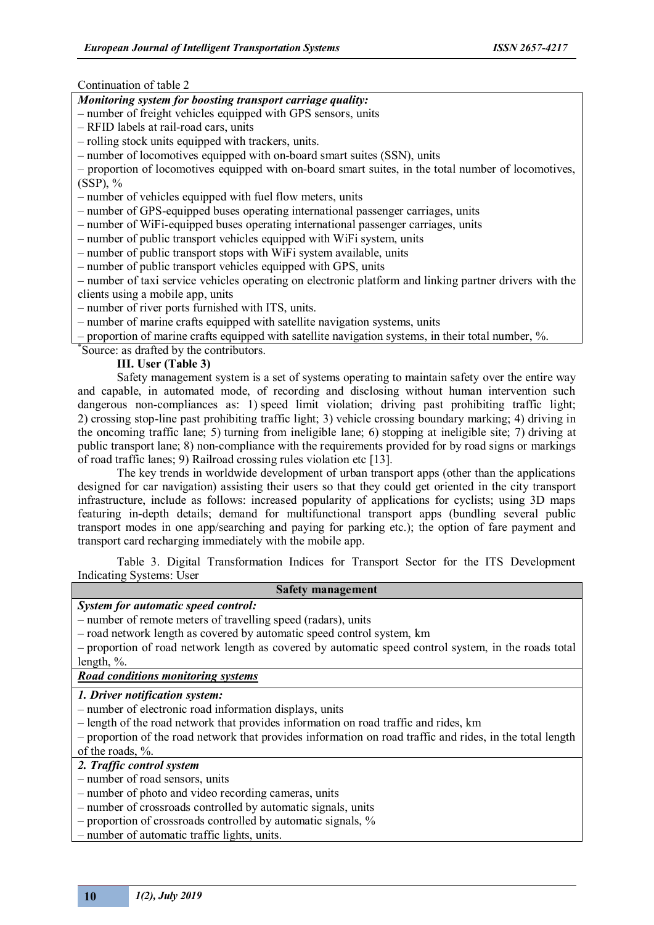### Continuation of table 2

### *Monitoring system for boosting transport carriage quality:*

– number of freight vehicles equipped with GPS sensors, units

– RFID labels at rail-road cars, units

– rolling stock units equipped with trackers, units.

– number of locomotives equipped with on-board smart suites (SSN), units

– proportion of locomotives equipped with on-board smart suites, in the total number of locomotives, (SSP), %

– number of vehicles equipped with fuel flow meters, units

– number of GPS-equipped buses operating international passenger carriages, units

– number of WiFi-equipped buses operating international passenger carriages, units

– number of public transport vehicles equipped with WiFi system, units

– number of public transport stops with WiFi system available, units

– number of public transport vehicles equipped with GPS, units

– number of taxi service vehicles operating on electronic platform and linking partner drivers with the clients using a mobile app, units

– number of river ports furnished with ITS, units.

– number of marine crafts equipped with satellite navigation systems, units

– proportion of marine crafts equipped with satellite navigation systems, in their total number, %.

\* Source: as drafted by the contributors.

### **ІІІ. User (Table 3)**

Safety management system is a set of systems operating to maintain safety over the entire way and capable, in automated mode, of recording and disclosing without human intervention such dangerous non-compliances as: 1) speed limit violation; driving past prohibiting traffic light; 2) crossing stop-line past prohibiting traffic light; 3) vehicle crossing boundary marking; 4) driving in the oncoming traffic lane; 5) turning from ineligible lane; 6) stopping at ineligible site; 7) driving at public transport lane; 8) non-compliance with the requirements provided for by road signs or markings of road traffic lanes; 9) Railroad crossing rules violation etc [13].

The key trends in worldwide development of urban transport apps (other than the applications designed for car navigation) assisting their users so that they could get oriented in the city transport infrastructure, include as follows: increased popularity of applications for cyclists; using 3D maps featuring in-depth details; demand for multifunctional transport apps (bundling several public transport modes in one app/searching and paying for parking etc.); the option of fare payment and transport card recharging immediately with the mobile app.

Table 3. Digital Transformation Indices for Transport Sector for the ITS Development Indicating Systems: User

### **Safety management**

# *System for automatic speed control:*

– number of remote meters of travelling speed (radars), units

– road network length as covered by automatic speed control system, km

– proportion of road network length as covered by automatic speed control system, in the roads total length, %.

## *Road conditions monitoring systems*

### *1. Driver notification system:*

– number of electronic road information displays, units

– length of the road network that provides information on road traffic and rides, km

– proportion of the road network that provides information on road traffic and rides, in the total length of the roads, %.

*2. Traffic control system*

- number of road sensors, units
- number of photo and video recording cameras, units
- number of crossroads controlled by automatic signals, units
- proportion of crossroads controlled by automatic signals, %

– number of automatic traffic lights, units.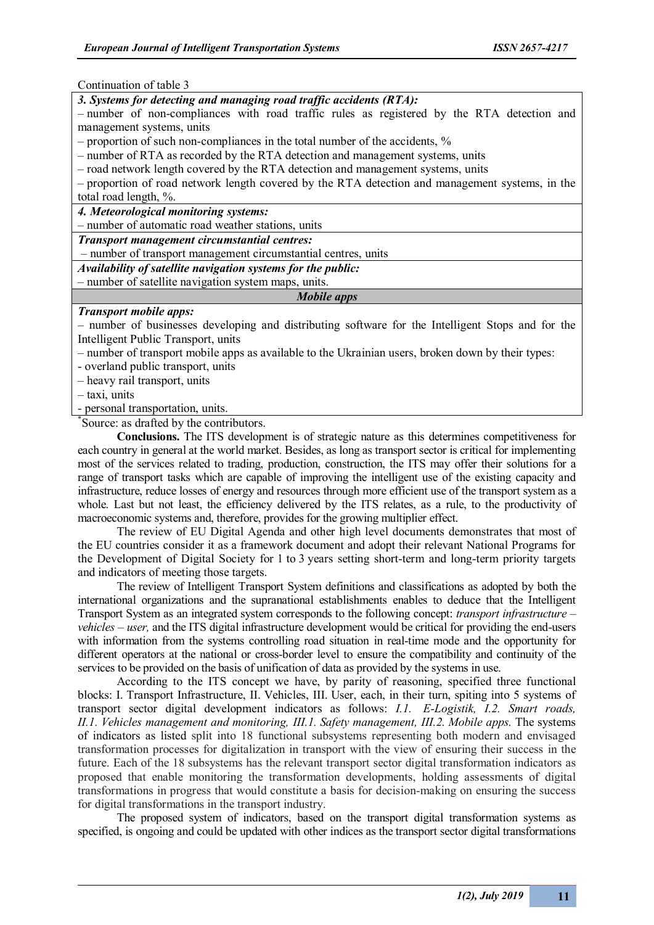Continuation of table 3

*3. Systems for detecting and managing road traffic accidents (RTA):*

– number of non-compliances with road traffic rules as registered by the RTA detection and management systems, units

– proportion of such non-compliances in the total number of the accidents, %

– number of RTA as recorded by the RTA detection and management systems, units

– road network length covered by the RTA detection and management systems, units

– proportion of road network length covered by the RTA detection and management systems, in the total road length, %.

*4. Meteorological monitoring systems:*

– number of automatic road weather stations, units

*Transport management circumstantial centres:*

– number of transport management circumstantial centres, units

*Availability of satellite navigation systems for the public:*

– number of satellite navigation system maps, units.

*Mobile apps*

### *Transport mobile apps:*

– number of businesses developing and distributing software for the Intelligent Stops and for the Intelligent Public Transport, units

– number of transport mobile apps as available to the Ukrainian users, broken down by their types:

- overland public transport, units

– heavy rail transport, units

– taxi, units

- personal transportation, units.

\* Source: as drafted by the contributors.

**Conclusions.** The ITS development is of strategic nature as this determines competitiveness for each country in general at the world market. Besides, as long as transport sector is critical for implementing most of the services related to trading, production, construction, the ITS may offer their solutions for a range of transport tasks which are capable of improving the intelligent use of the existing capacity and infrastructure, reduce losses of energy and resources through more efficient use of the transport system as a whole. Last but not least, the efficiency delivered by the ITS relates, as a rule, to the productivity of macroeconomic systems and, therefore, provides for the growing multiplier effect.

The review of EU Digital Agenda and other high level documents demonstrates that most of the EU countries consider it as a framework document and adopt their relevant National Programs for the Development of Digital Society for 1 to 3 years setting short-term and long-term priority targets and indicators of meeting those targets.

The review of Intelligent Transport System definitions and classifications as adopted by both the international organizations and the supranational establishments enables to deduce that the Intelligent Transport System as an integrated system corresponds to the following concept: *transport infrastructure – vehicles – user,* and the ITS digital infrastructure development would be critical for providing the end-users with information from the systems controlling road situation in real-time mode and the opportunity for different operators at the national or cross-border level to ensure the compatibility and continuity of the services to be provided on the basis of unification of data as provided by the systems in use.

According to the ITS concept we have, by parity of reasoning, specified three functional blocks: I. Transport Infrastructure, ІІ. Vehicles, ІІІ. User, each, in their turn, spiting into 5 systems of transport sector digital development indicators as follows: *І.1. E-Logistik, І.2. Smart roads, ІІ.1. Vehicles management and monitoring, ІІІ.1. Safety management, ІІІ.2. Mobile apps.* The systems of indicators as listed split into 18 functional subsystems representing both modern and envisaged transformation processes for digitalization in transport with the view of ensuring their success in the future. Each of the 18 subsystems has the relevant transport sector digital transformation indicators as proposed that enable monitoring the transformation developments, holding assessments of digital transformations in progress that would constitute a basis for decision-making on ensuring the success for digital transformations in the transport industry.

The proposed system of indicators, based on the transport digital transformation systems as specified, is ongoing and could be updated with other indices as the transport sector digital transformations